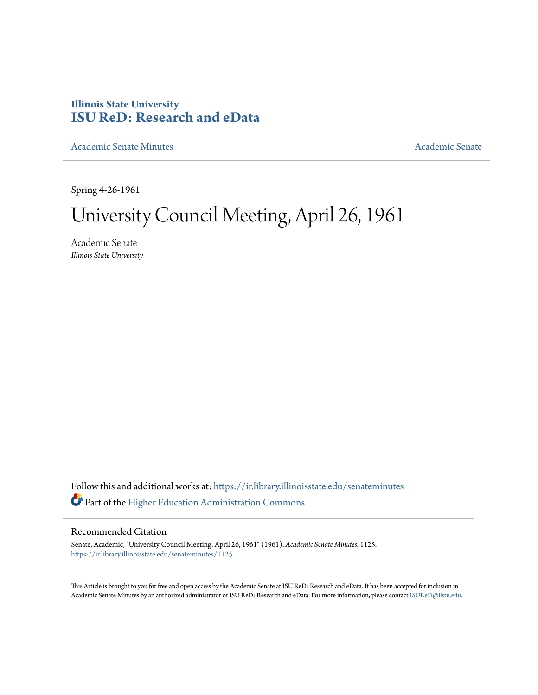## **Illinois State University [ISU ReD: Research and eData](https://ir.library.illinoisstate.edu?utm_source=ir.library.illinoisstate.edu%2Fsenateminutes%2F1125&utm_medium=PDF&utm_campaign=PDFCoverPages)**

[Academic Senate Minutes](https://ir.library.illinoisstate.edu/senateminutes?utm_source=ir.library.illinoisstate.edu%2Fsenateminutes%2F1125&utm_medium=PDF&utm_campaign=PDFCoverPages) [Academic Senate](https://ir.library.illinoisstate.edu/senate?utm_source=ir.library.illinoisstate.edu%2Fsenateminutes%2F1125&utm_medium=PDF&utm_campaign=PDFCoverPages) Academic Senate

Spring 4-26-1961

# University Council Meeting, April 26, 1961

Academic Senate *Illinois State University*

Follow this and additional works at: [https://ir.library.illinoisstate.edu/senateminutes](https://ir.library.illinoisstate.edu/senateminutes?utm_source=ir.library.illinoisstate.edu%2Fsenateminutes%2F1125&utm_medium=PDF&utm_campaign=PDFCoverPages) Part of the [Higher Education Administration Commons](http://network.bepress.com/hgg/discipline/791?utm_source=ir.library.illinoisstate.edu%2Fsenateminutes%2F1125&utm_medium=PDF&utm_campaign=PDFCoverPages)

### Recommended Citation

Senate, Academic, "University Council Meeting, April 26, 1961" (1961). *Academic Senate Minutes*. 1125. [https://ir.library.illinoisstate.edu/senateminutes/1125](https://ir.library.illinoisstate.edu/senateminutes/1125?utm_source=ir.library.illinoisstate.edu%2Fsenateminutes%2F1125&utm_medium=PDF&utm_campaign=PDFCoverPages)

This Article is brought to you for free and open access by the Academic Senate at ISU ReD: Research and eData. It has been accepted for inclusion in Academic Senate Minutes by an authorized administrator of ISU ReD: Research and eData. For more information, please contact [ISUReD@ilstu.edu.](mailto:ISUReD@ilstu.edu)